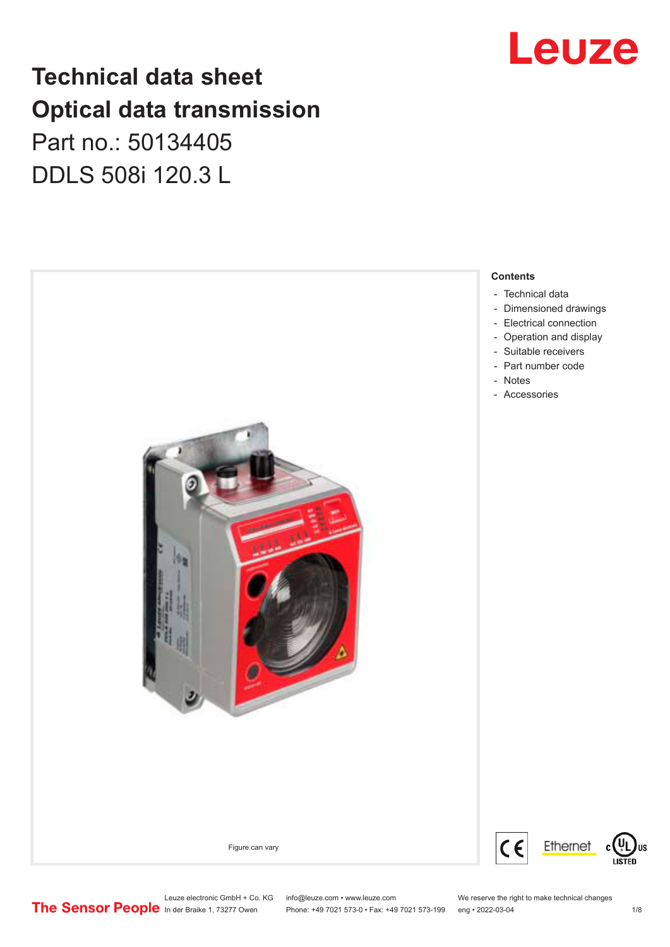## Leuze

## **Technical data sheet Optical data transmission**

Part no.: 50134405 DDLS 508i 120.3 L



Leuze electronic GmbH + Co. KG info@leuze.com • www.leuze.com We reserve the right to make technical changes<br>
The Sensor People in der Braike 1, 73277 Owen Phone: +49 7021 573-0 • Fax: +49 7021 573-199 eng • 2022-03-04

Phone: +49 7021 573-0 • Fax: +49 7021 573-199 eng • 2022-03-04 1/8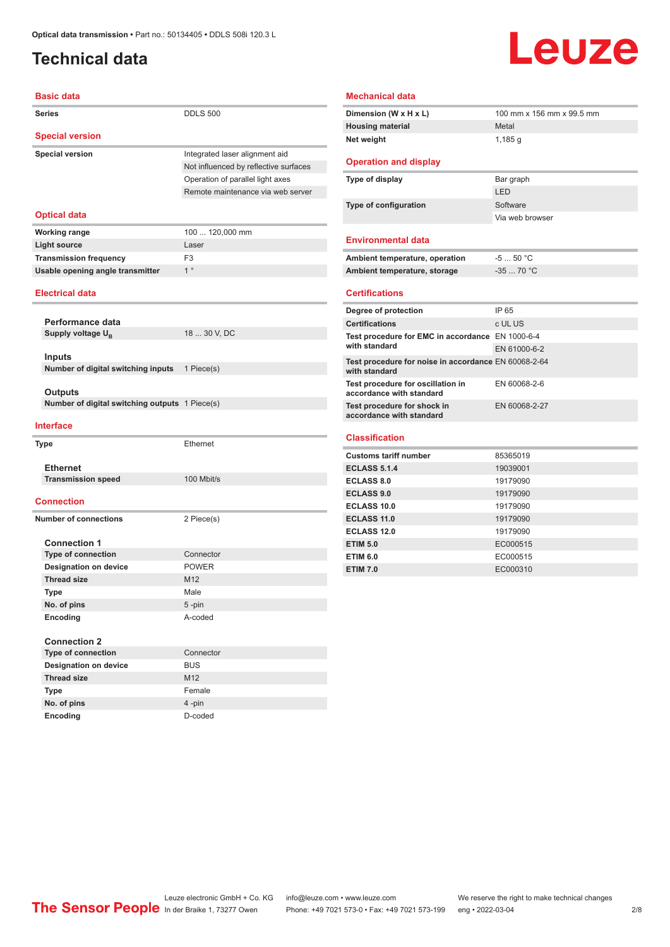### <span id="page-1-0"></span>**Technical data**

## Leuze

| <b>Basic data</b>                                |                                       |
|--------------------------------------------------|---------------------------------------|
| Series                                           | <b>DDLS 500</b>                       |
| <b>Special version</b>                           |                                       |
| <b>Special version</b>                           | Integrated laser alignment aid        |
|                                                  | Not influenced by reflective surfaces |
|                                                  | Operation of parallel light axes      |
|                                                  | Remote maintenance via web server     |
| <b>Optical data</b>                              |                                       |
| <b>Working range</b>                             | 100  120,000 mm                       |
| <b>Light source</b>                              | Laser                                 |
| <b>Transmission frequency</b>                    | F <sub>3</sub>                        |
| Usable opening angle transmitter                 | 1 <sup>°</sup>                        |
| <b>Electrical data</b>                           |                                       |
| Performance data                                 |                                       |
| Supply voltage $U_{B}$                           | 18  30 V, DC                          |
|                                                  |                                       |
| Inputs                                           |                                       |
| Number of digital switching inputs               | 1 Piece(s)                            |
|                                                  |                                       |
| <b>Outputs</b>                                   |                                       |
| Number of digital switching outputs 1 Piece(s)   |                                       |
| <b>Interface</b>                                 |                                       |
| <b>Type</b>                                      | Ethernet                              |
|                                                  |                                       |
| <b>Ethernet</b>                                  |                                       |
| <b>Transmission speed</b>                        | 100 Mbit/s                            |
| <b>Connection</b>                                |                                       |
| <b>Number of connections</b>                     | 2 Piece(s)                            |
|                                                  |                                       |
| <b>Connection 1</b><br><b>Type of connection</b> | Connector                             |
| <b>Designation on device</b>                     | <b>POWER</b>                          |
| <b>Thread size</b>                               | M12                                   |
|                                                  |                                       |
| Type<br>No. of pins                              | Male<br>5-pin                         |
| Encoding                                         | A-coded                               |
|                                                  |                                       |
| <b>Connection 2</b>                              |                                       |
| <b>Type of connection</b>                        | Connector                             |
| <b>Designation on device</b>                     | <b>BUS</b>                            |
| <b>Thread size</b>                               | M12                                   |

#### **Mechanical data**

| Dimension (W x H x L)                                         | 100 mm x 156 mm x 99.5 mm |
|---------------------------------------------------------------|---------------------------|
| <b>Housing material</b>                                       | Metal                     |
| Net weight                                                    | 1,185q                    |
|                                                               |                           |
| <b>Operation and display</b>                                  |                           |
| Type of display                                               | Bar graph                 |
|                                                               | I FD                      |
| Type of configuration                                         | Software                  |
|                                                               | Via web browser           |
|                                                               |                           |
| <b>Environmental data</b>                                     |                           |
| Ambient temperature, operation                                | $-550 °C$                 |
| Ambient temperature, storage                                  | $-3570 °C$                |
|                                                               |                           |
| <b>Certifications</b>                                         |                           |
| Degree of protection                                          | IP 65                     |
| <b>Certifications</b>                                         | c UL US                   |
| Test procedure for EMC in accordance EN 1000-6-4              |                           |
| with standard                                                 | EN 61000-6-2              |
| Test procedure for noise in accordance EN 60068-2-64          |                           |
| with standard                                                 |                           |
| Test procedure for oscillation in<br>accordance with standard | EN 60068-2-6              |
| Test procedure for shock in                                   | EN 60068-2-27             |
| accordance with standard                                      |                           |
| <b>Classification</b>                                         |                           |
|                                                               |                           |
| <b>Customs tariff number</b>                                  | 85365019                  |
| <b>ECLASS 5.1.4</b>                                           | 19039001                  |
| <b>ECLASS 8.0</b>                                             | 19179090                  |

| <b>ECLASS 5.1.4</b> | 19039001 |
|---------------------|----------|
| <b>ECLASS 8.0</b>   | 19179090 |
| <b>ECLASS 9.0</b>   | 19179090 |
| ECLASS 10.0         | 19179090 |
| ECLASS 11.0         | 19179090 |
| ECLASS 12.0         | 19179090 |
| <b>ETIM 5.0</b>     | EC000515 |
| <b>ETIM 6.0</b>     | EC000515 |
| <b>ETIM 7.0</b>     | EC000310 |

Leuze electronic GmbH + Co. KG info@leuze.com • www.leuze.com We reserve the right to make technical changes<br>
The Sensor People in der Braike 1, 73277 Owen Phone: +49 7021 573-0 • Fax: +49 7021 573-199 eng • 2022-03-04

**Type** Female **No. of pins** 4 -pin **Encoding** D-coded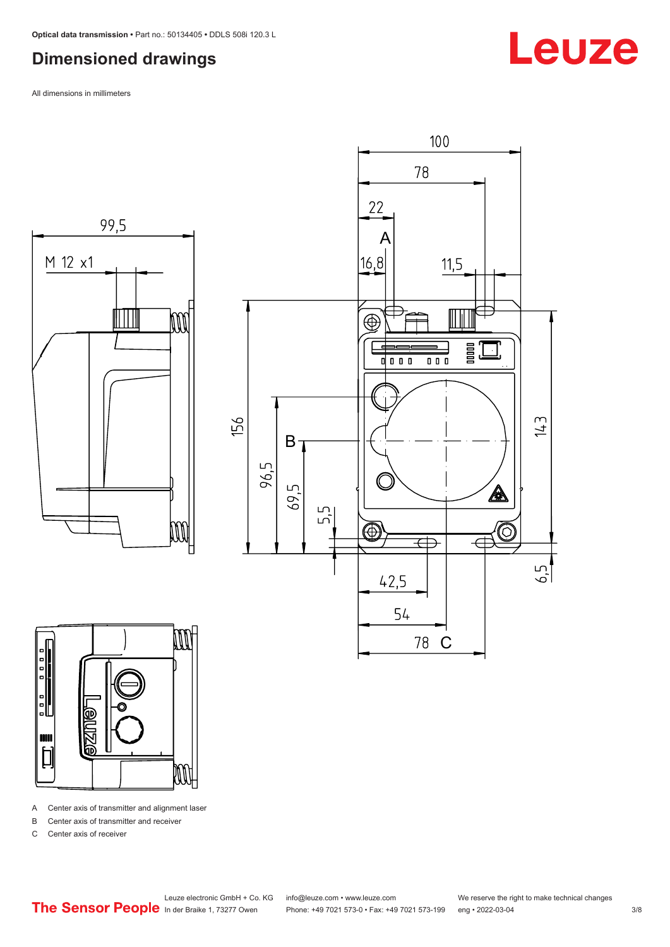### <span id="page-2-0"></span>**Dimensioned drawings**

All dimensions in millimeters







A Center axis of transmitter and alignment laser

B Center axis of transmitter and receiver

C Center axis of receiver

## Leuze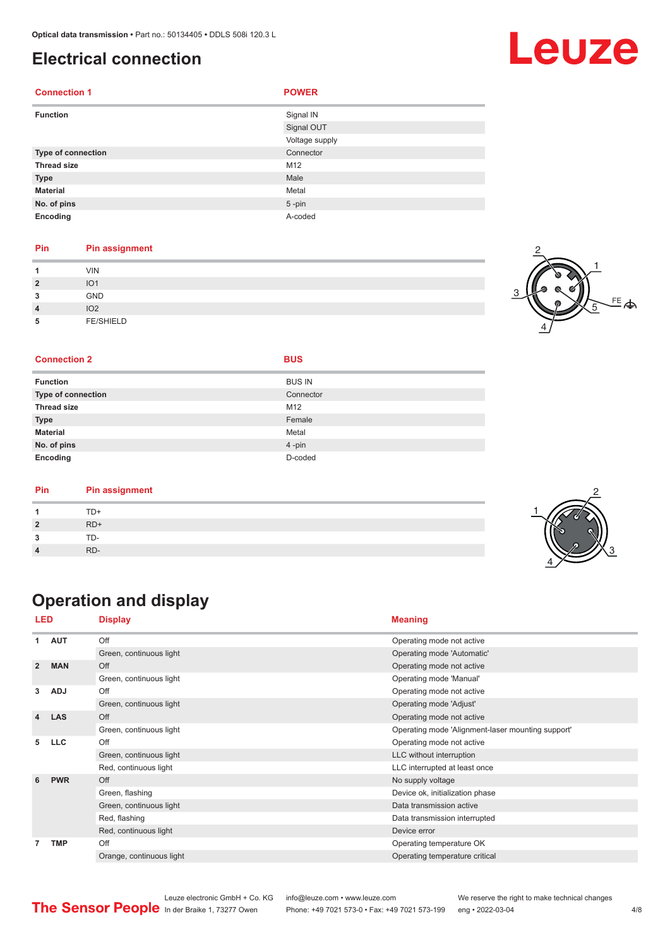#### <span id="page-3-0"></span>**Electrical connection**

| <b>Connection 1</b>       | <b>POWER</b>   |
|---------------------------|----------------|
| <b>Function</b>           | Signal IN      |
|                           | Signal OUT     |
|                           | Voltage supply |
| <b>Type of connection</b> | Connector      |
| <b>Thread size</b>        | M12            |
| <b>Type</b>               | Male           |
| <b>Material</b>           | Metal          |
| No. of pins               | $5 - pin$      |
| Encoding                  | A-coded        |

#### **Pin Pin assignment**

| и              | <b>VIN</b>       |  |
|----------------|------------------|--|
| $\overline{2}$ | IO <sub>1</sub>  |  |
| 3              | GND              |  |
| $\overline{4}$ | IO <sub>2</sub>  |  |
| 5              | <b>FE/SHIELD</b> |  |



#### **Connection 2 BUS**

| <b>Function</b>           | <b>BUS IN</b> |
|---------------------------|---------------|
| <b>Type of connection</b> | Connector     |
| <b>Thread size</b>        | M12           |
| <b>Type</b>               | Female        |
| <b>Material</b>           | Metal         |
| No. of pins               | 4-pin         |
| Encoding                  | D-coded       |

| Pin | <b>Pin assignment</b> |
|-----|-----------------------|
|     | TD+                   |
|     | $RD+$                 |
|     | TD-                   |
|     | RD-                   |

### **Operation and display**

| <b>LED</b>     |            | <b>Display</b>           | <b>Meaning</b>                                    |  |
|----------------|------------|--------------------------|---------------------------------------------------|--|
| 1              | <b>AUT</b> | Off                      | Operating mode not active                         |  |
|                |            | Green, continuous light  | Operating mode 'Automatic'                        |  |
| $\overline{2}$ | <b>MAN</b> | Off                      | Operating mode not active                         |  |
|                |            | Green, continuous light  | Operating mode 'Manual'                           |  |
| 3              | <b>ADJ</b> | Off                      | Operating mode not active                         |  |
|                |            | Green, continuous light  | Operating mode 'Adjust'                           |  |
| 4              | <b>LAS</b> | Off                      | Operating mode not active                         |  |
|                |            | Green, continuous light  | Operating mode 'Alignment-laser mounting support' |  |
| 5              | <b>LLC</b> | Off                      | Operating mode not active                         |  |
|                |            | Green, continuous light  | LLC without interruption                          |  |
|                |            | Red, continuous light    | LLC interrupted at least once                     |  |
| 6              | <b>PWR</b> | Off                      | No supply voltage                                 |  |
|                |            | Green, flashing          | Device ok, initialization phase                   |  |
|                |            | Green, continuous light  | Data transmission active                          |  |
|                |            | Red, flashing            | Data transmission interrupted                     |  |
|                |            | Red, continuous light    | Device error                                      |  |
| 7              | <b>TMP</b> | Off                      | Operating temperature OK                          |  |
|                |            | Orange, continuous light | Operating temperature critical                    |  |



2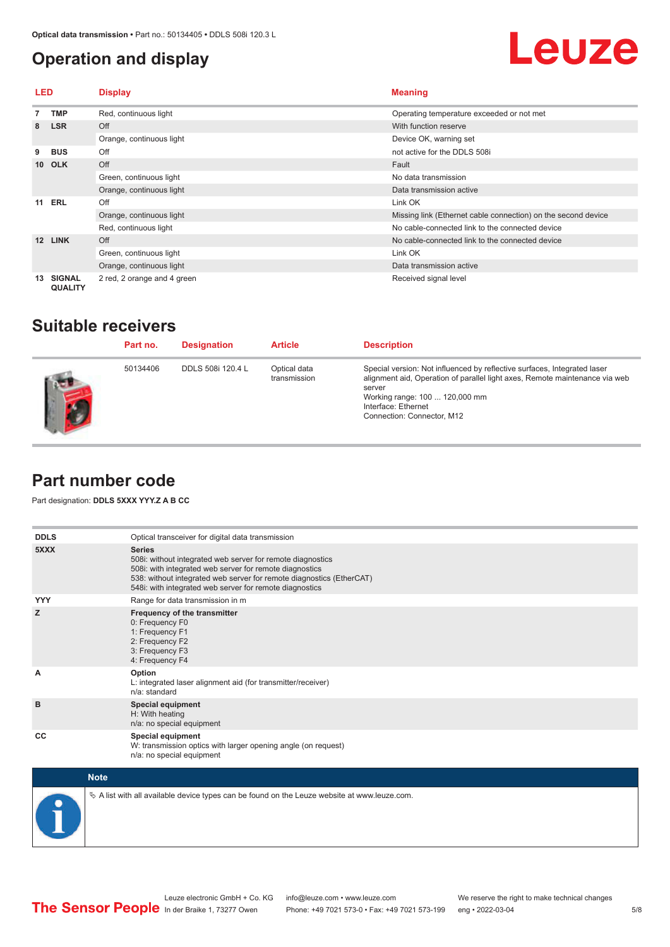### <span id="page-4-0"></span>**Operation and display**

## Leuze

| LED |                                 | <b>Display</b>              | <b>Meaning</b>                                                |
|-----|---------------------------------|-----------------------------|---------------------------------------------------------------|
|     | TMP                             | Red, continuous light       | Operating temperature exceeded or not met                     |
| 8   | <b>LSR</b>                      | Off                         | With function reserve                                         |
|     |                                 | Orange, continuous light    | Device OK, warning set                                        |
| 9   | <b>BUS</b>                      | Off                         | not active for the DDLS 508i                                  |
|     | 10 OLK                          | Off                         | Fault                                                         |
|     |                                 | Green, continuous light     | No data transmission                                          |
|     |                                 | Orange, continuous light    | Data transmission active                                      |
| 11  | ERL                             | Off                         | Link OK                                                       |
|     |                                 | Orange, continuous light    | Missing link (Ethernet cable connection) on the second device |
|     |                                 | Red, continuous light       | No cable-connected link to the connected device               |
| 12  | <b>LINK</b>                     | Off                         | No cable-connected link to the connected device               |
|     |                                 | Green, continuous light     | Link OK                                                       |
|     |                                 | Orange, continuous light    | Data transmission active                                      |
| 13  | <b>SIGNAL</b><br><b>QUALITY</b> | 2 red, 2 orange and 4 green | Received signal level                                         |

#### **Suitable receivers**

| Part no. | <b>Designation</b> | <b>Article</b>               | <b>Description</b>                                                                                                                                                                                                                                       |
|----------|--------------------|------------------------------|----------------------------------------------------------------------------------------------------------------------------------------------------------------------------------------------------------------------------------------------------------|
| 50134406 | DDLS 508i 120.4 L  | Optical data<br>transmission | Special version: Not influenced by reflective surfaces, Integrated laser<br>alignment aid, Operation of parallel light axes, Remote maintenance via web<br>server<br>Working range: 100  120,000 mm<br>Interface: Ethernet<br>Connection: Connector, M12 |

#### **Part number code**

Part designation: **DDLS 5XXX YYY.Z A B CC**

| <b>DDLS</b> | Optical transceiver for digital data transmission                                                                                                                                                                                                                         |
|-------------|---------------------------------------------------------------------------------------------------------------------------------------------------------------------------------------------------------------------------------------------------------------------------|
| 5XXX        | <b>Series</b><br>508i: without integrated web server for remote diagnostics<br>508i: with integrated web server for remote diagnostics<br>538: without integrated web server for remote diagnostics (EtherCAT)<br>548i: with integrated web server for remote diagnostics |
| <b>YYY</b>  | Range for data transmission in m                                                                                                                                                                                                                                          |
| z           | Frequency of the transmitter<br>0: Frequency F0<br>1: Frequency F1<br>2: Frequency F2<br>3: Frequency F3<br>4: Frequency F4                                                                                                                                               |
| A           | Option<br>L: integrated laser alignment aid (for transmitter/receiver)<br>n/a: standard                                                                                                                                                                                   |
| B           | <b>Special equipment</b><br>H: With heating<br>n/a: no special equipment                                                                                                                                                                                                  |
| CC          | <b>Special equipment</b><br>W: transmission optics with larger opening angle (on request)<br>n/a: no special equipment                                                                                                                                                    |

| <b>Note</b>                                                                                  |
|----------------------------------------------------------------------------------------------|
| ∜ A list with all available device types can be found on the Leuze website at www.leuze.com. |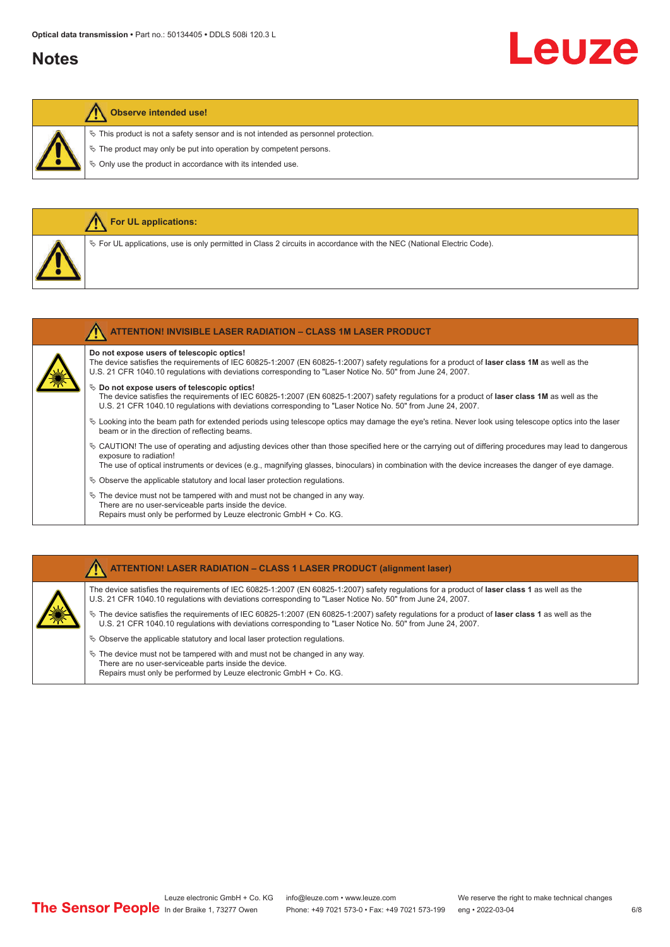#### **Notes**

# Leuze

#### **Observe intended use!**

 $\%$  This product is not a safety sensor and is not intended as personnel protection.

 $\&$  The product may only be put into operation by competent persons.

 $\%$  Only use the product in accordance with its intended use.

| <b>For UL applications:</b>                                                                                              |
|--------------------------------------------------------------------------------------------------------------------------|
| $\%$ For UL applications, use is only permitted in Class 2 circuits in accordance with the NEC (National Electric Code). |
| <b>ATTENTION! INVISIBLE LASER RADIATION - CLASS 1M LASER PRODUCT</b>                                                     |

#### **Do not expose users of telescopic optics!**

The device satisfies the requirements of IEC 60825-1:2007 (EN 60825-1:2007) safety regulations for a product of **laser class 1M** as well as the U.S. 21 CFR 1040.10 regulations with deviations corresponding to "Laser Notice No. 50" from June 24, 2007.

#### $\%$  Do not expose users of telescopic optics!

The device satisfies the requirements of IEC 60825-1:2007 (EN 60825-1:2007) safety regulations for a product of **laser class 1M** as well as the U.S. 21 CFR 1040.10 regulations with deviations corresponding to "Laser Notice No. 50" from June 24, 2007.

- ª Looking into the beam path for extended periods using telescope optics may damage the eye's retina. Never look using telescope optics into the laser beam or in the direction of reflecting beams.
- ª CAUTION! The use of operating and adjusting devices other than those specified here or the carrying out of differing procedures may lead to dangerous exposure to radiation!

The use of optical instruments or devices (e.g., magnifying glasses, binoculars) in combination with the device increases the danger of eye damage.

- $\&$  Observe the applicable statutory and local laser protection regulations.
- $\%$  The device must not be tampered with and must not be changed in any way. There are no user-serviceable parts inside the device. Repairs must only be performed by Leuze electronic GmbH + Co. KG.

#### **ATTENTION! LASER RADIATION – CLASS 1 LASER PRODUCT (alignment laser)**

The device satisfies the requirements of IEC 60825-1:2007 (EN 60825-1:2007) safety regulations for a product of **laser class 1** as well as the U.S. 21 CFR 1040.10 regulations with deviations corresponding to "Laser Notice No. 50" from June 24, 2007.

- ª The device satisfies the requirements of IEC 60825-1:2007 (EN 60825-1:2007) safety regulations for a product of **laser class 1** as well as the U.S. 21 CFR 1040.10 regulations with deviations corresponding to "Laser Notice No. 50" from June 24, 2007.
- $\%$  Observe the applicable statutory and local laser protection regulations.
- $\ddot{\phi}$  The device must not be tampered with and must not be changed in any way. There are no user-serviceable parts inside the device. Repairs must only be performed by Leuze electronic GmbH + Co. KG.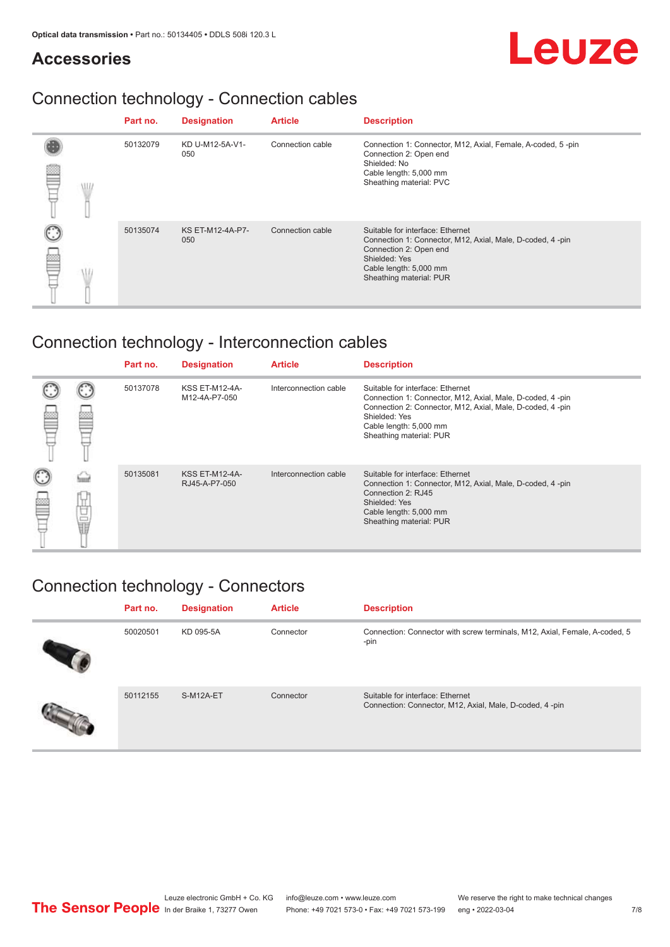#### **Accessories**

## Leuze

### Connection technology - Connection cables

|            | Part no. | <b>Designation</b>      | <b>Article</b>   | <b>Description</b>                                                                                                                                                                            |
|------------|----------|-------------------------|------------------|-----------------------------------------------------------------------------------------------------------------------------------------------------------------------------------------------|
| <b>ALL</b> | 50132079 | KD U-M12-5A-V1-<br>050  | Connection cable | Connection 1: Connector, M12, Axial, Female, A-coded, 5-pin<br>Connection 2: Open end<br>Shielded: No<br>Cable length: 5,000 mm<br>Sheathing material: PVC                                    |
|            | 50135074 | KS ET-M12-4A-P7-<br>050 | Connection cable | Suitable for interface: Ethernet<br>Connection 1: Connector, M12, Axial, Male, D-coded, 4-pin<br>Connection 2: Open end<br>Shielded: Yes<br>Cable length: 5,000 mm<br>Sheathing material: PUR |

### Connection technology - Interconnection cables

|             |   | Part no. | <b>Designation</b>                     | <b>Article</b>        | <b>Description</b>                                                                                                                                                                                                               |
|-------------|---|----------|----------------------------------------|-----------------------|----------------------------------------------------------------------------------------------------------------------------------------------------------------------------------------------------------------------------------|
|             |   | 50137078 | <b>KSS ET-M12-4A-</b><br>M12-4A-P7-050 | Interconnection cable | Suitable for interface: Ethernet<br>Connection 1: Connector, M12, Axial, Male, D-coded, 4-pin<br>Connection 2: Connector, M12, Axial, Male, D-coded, 4-pin<br>Shielded: Yes<br>Cable length: 5,000 mm<br>Sheathing material: PUR |
| C<br>œ<br>⋿ | Ö | 50135081 | <b>KSS ET-M12-4A-</b><br>RJ45-A-P7-050 | Interconnection cable | Suitable for interface: Ethernet<br>Connection 1: Connector, M12, Axial, Male, D-coded, 4-pin<br>Connection 2: RJ45<br>Shielded: Yes<br>Cable length: 5,000 mm<br>Sheathing material: PUR                                        |

### Connection technology - Connectors

| Part no. | <b>Designation</b> | <b>Article</b> | <b>Description</b>                                                                          |
|----------|--------------------|----------------|---------------------------------------------------------------------------------------------|
| 50020501 | KD 095-5A          | Connector      | Connection: Connector with screw terminals, M12, Axial, Female, A-coded, 5<br>-pin          |
| 50112155 | S-M12A-ET          | Connector      | Suitable for interface: Ethernet<br>Connection: Connector, M12, Axial, Male, D-coded, 4-pin |